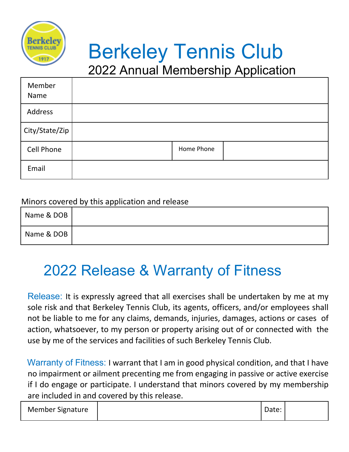

# Berkeley Tennis Club

2022 Annual Membership Application

| Member<br>Name    |            |  |
|-------------------|------------|--|
| Address           |            |  |
| City/State/Zip    |            |  |
| <b>Cell Phone</b> | Home Phone |  |
| Email             |            |  |

#### Minors covered by this application and release

| Name & DOB |  |
|------------|--|
| Name & DOB |  |

### 2022 Release & Warranty of Fitness

Release: It is expressly agreed that all exercises shall be undertaken by me at my sole risk and that Berkeley Tennis Club, its agents, officers, and/or employees shall not be liable to me for any claims, demands, injuries, damages, actions or cases of action, whatsoever, to my person or property arising out of or connected with the use by me of the services and facilities of such Berkeley Tennis Club.

Warranty of Fitness: I warrant that I am in good physical condition, and that I have no impairment or ailment precenting me from engaging in passive or active exercise if I do engage or participate. I understand that minors covered by my membership are included in and covered by this release.

| <b>Member Signature</b> | Date: |  |
|-------------------------|-------|--|
|-------------------------|-------|--|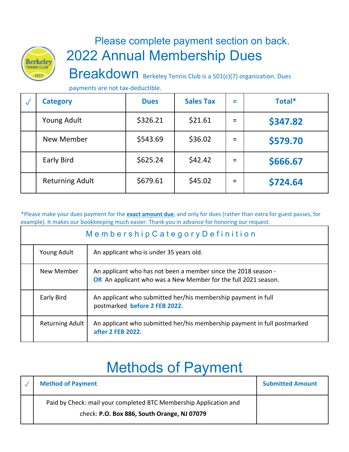

#### Please complete payment section on back. 2022 Annual Membership Dues

Breakdown Berkeley Tennis Club is a 501(c)(7) organization. Dues

payments are not tax-deductible.

| <b>Category</b>        | <b>Dues</b> | <b>Sales Tax</b> | $\equiv$ | Total*   |
|------------------------|-------------|------------------|----------|----------|
| <b>Young Adult</b>     | \$326.21    | \$21.61          | $=$      | \$347.82 |
| New Member             | \$543.69    | \$36.02          | $=$      | \$579.70 |
| <b>Early Bird</b>      | \$625.24    | \$42.42          | $=$      | \$666.67 |
| <b>Returning Adult</b> | \$679.61    | \$45.02          | $=$      | \$724.64 |

\*Please make your dues payment for the **exact amount due**, and only for dues (rather than extra for guest passes, for example). It makes our bookkeeping much easier. Thank you in advance for honoring our request.

| Membership Category Definition |                                                                                                                                         |  |
|--------------------------------|-----------------------------------------------------------------------------------------------------------------------------------------|--|
| Young Adult                    | An applicant who is under 35 years old.                                                                                                 |  |
| New Member                     | An applicant who has not been a member since the 2018 season -<br><b>OR</b> An applicant who was a New Member for the full 2021 season. |  |
| Early Bird                     | An applicant who submitted her/his membership payment in full<br>postmarked before 2 FEB 2022.                                          |  |
| <b>Returning Adult</b>         | An applicant who submitted her/his membership payment in full postmarked<br>after 2 FEB 2022.                                           |  |

## Methods of Payment

| <b>Method of Payment</b>                                                                                         | <b>Submitted Amount</b> |
|------------------------------------------------------------------------------------------------------------------|-------------------------|
| Paid by Check: mail your completed BTC Membership Application and<br>check: P.O. Box 886, South Orange, NJ 07079 |                         |